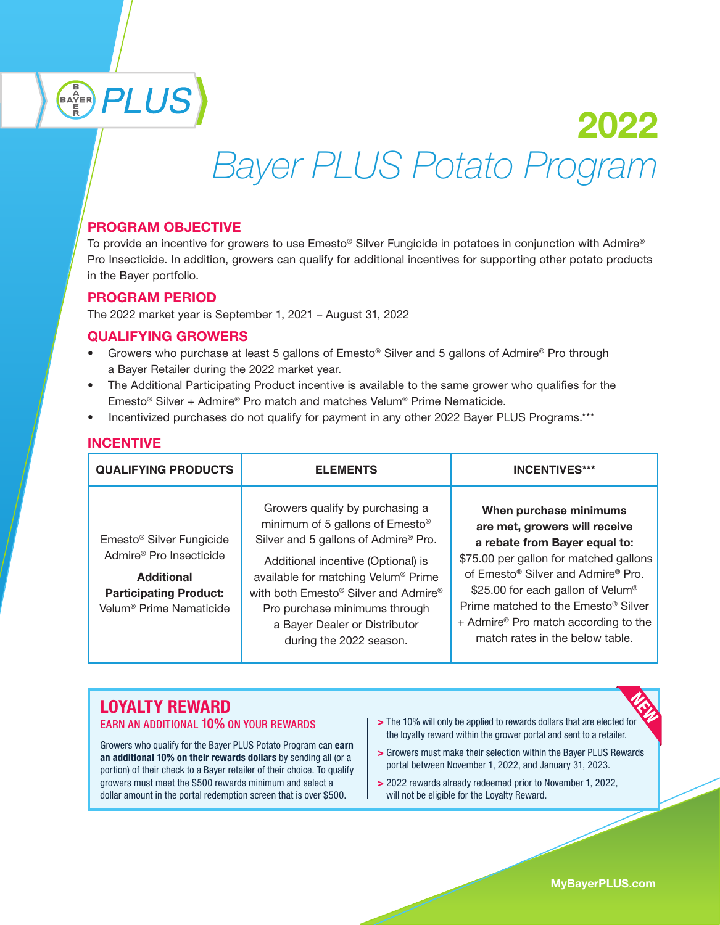# BAYER PLUS 2022  *Bayer PLUS Potato Program*

## PROGRAM OBJECTIVE

To provide an incentive for growers to use Emesto® Silver Fungicide in potatoes in conjunction with Admire® Pro Insecticide. In addition, growers can qualify for additional incentives for supporting other potato products in the Bayer portfolio.

#### PROGRAM PERIOD

The 2022 market year is September 1, 2021 – August 31, 2022

### QUALIFYING GROWERS

- Growers who purchase at least 5 gallons of Emesto® Silver and 5 gallons of Admire® Pro through a Bayer Retailer during the 2022 market year.
- The Additional Participating Product incentive is available to the same grower who qualifies for the Emesto® Silver + Admire® Pro match and matches Velum® Prime Nematicide.
- Incentivized purchases do not qualify for payment in any other 2022 Bayer PLUS Programs.\*\*\*

#### **INCENTIVE**

| <b>QUALIFYING PRODUCTS</b>                                                                                                                                               | <b>ELEMENTS</b>                                                                                                                                                                                                                                                                                                                                                  | <b>INCENTIVES***</b>                                                                                                                                                                                                                                                                                                                                                                        |
|--------------------------------------------------------------------------------------------------------------------------------------------------------------------------|------------------------------------------------------------------------------------------------------------------------------------------------------------------------------------------------------------------------------------------------------------------------------------------------------------------------------------------------------------------|---------------------------------------------------------------------------------------------------------------------------------------------------------------------------------------------------------------------------------------------------------------------------------------------------------------------------------------------------------------------------------------------|
| Emesto <sup>®</sup> Silver Fungicide<br>Admire <sup>®</sup> Pro Insecticide<br><b>Additional</b><br><b>Participating Product:</b><br>Velum <sup>®</sup> Prime Nematicide | Growers qualify by purchasing a<br>minimum of 5 gallons of Emesto <sup>®</sup><br>Silver and 5 gallons of Admire® Pro.<br>Additional incentive (Optional) is<br>available for matching Velum® Prime<br>with both Emesto <sup>®</sup> Silver and Admire <sup>®</sup><br>Pro purchase minimums through<br>a Bayer Dealer or Distributor<br>during the 2022 season. | When purchase minimums<br>are met, growers will receive<br>a rebate from Bayer equal to:<br>\$75.00 per gallon for matched gallons<br>of Emesto <sup>®</sup> Silver and Admire <sup>®</sup> Pro.<br>\$25.00 for each gallon of Velum <sup>®</sup><br>Prime matched to the Emesto <sup>®</sup> Silver<br>+ Admire <sup>®</sup> Pro match according to the<br>match rates in the below table. |

# LOYALTY REWARD

Growers who qualify for the Bayer PLUS Potato Program can earn an additional 10% on their rewards dollars by sending all (or a portion) of their check to a Bayer retailer of their choice. To qualify growers must meet the \$500 rewards minimum and select a dollar amount in the portal redemption screen that is over \$500.

- EARN AN ADDITIONAL 10% ON YOUR REWARDS | > The 10% will only be applied to rewards dollars that are elected for the loyalty reward within the grower portal and sent to a retailer.
	- > Growers must make their selection within the Bayer PLUS Rewards portal between November 1, 2022, and January 31, 2023.
	- > 2022 rewards already redeemed prior to November 1, 2022, will not be eligible for the Loyalty Reward.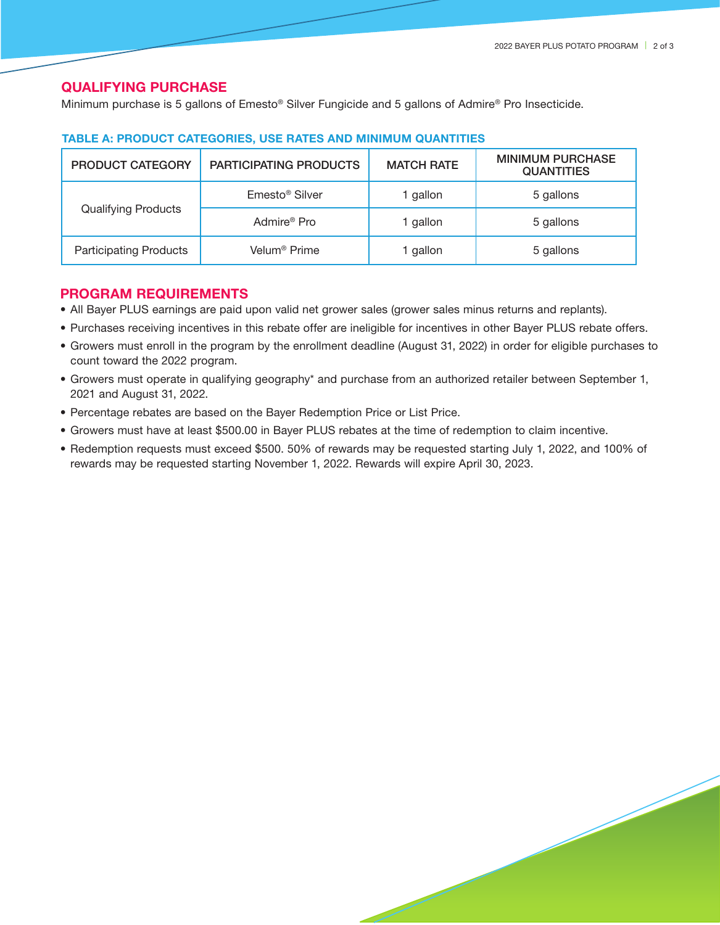#### QUALIFYING PURCHASE

Minimum purchase is 5 gallons of Emesto® Silver Fungicide and 5 gallons of Admire® Pro Insecticide.

| <b>PRODUCT CATEGORY</b>       | <b>PARTICIPATING PRODUCTS</b> | <b>MATCH RATE</b> | <b>MINIMUM PURCHASE</b><br><b>QUANTITIES</b> |
|-------------------------------|-------------------------------|-------------------|----------------------------------------------|
| <b>Qualifying Products</b>    | Emesto <sup>®</sup> Silver    | l gallon          | 5 gallons                                    |
|                               | Admire <sup>®</sup> Pro       | l gallon          | 5 gallons                                    |
| <b>Participating Products</b> | Velum <sup>®</sup> Prime      | gallon            | 5 gallons                                    |

#### TABLE A: PRODUCT CATEGORIES, USE RATES AND MINIMUM QUANTITIES

#### PROGRAM REQUIREMENTS

- All Bayer PLUS earnings are paid upon valid net grower sales (grower sales minus returns and replants).
- Purchases receiving incentives in this rebate offer are ineligible for incentives in other Bayer PLUS rebate offers.
- Growers must enroll in the program by the enrollment deadline (August 31, 2022) in order for eligible purchases to count toward the 2022 program.
- Growers must operate in qualifying geography\* and purchase from an authorized retailer between September 1, 2021 and August 31, 2022.
- Percentage rebates are based on the Bayer Redemption Price or List Price.
- Growers must have at least \$500.00 in Bayer PLUS rebates at the time of redemption to claim incentive.
- Redemption requests must exceed \$500. 50% of rewards may be requested starting July 1, 2022, and 100% of rewards may be requested starting November 1, 2022. Rewards will expire April 30, 2023.